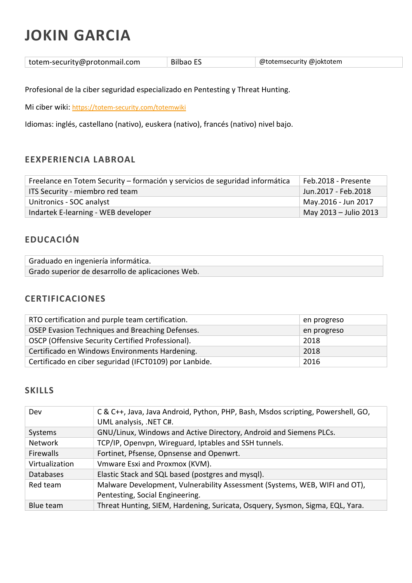# JOKIN GARCIA

| totem-security@protonmail.com | Bilbao ES | @totemsecurity @joktotem |
|-------------------------------|-----------|--------------------------|
|-------------------------------|-----------|--------------------------|

Profesional de la ciber seguridad especializado en Pentesting y Threat Hunting.

Mi ciber wiki: https://totem-security.com/totemwiki

Idiomas: inglés, castellano (nativo), euskera (nativo), francés (nativo) nivel bajo.

### EEXPERIENCIA LABROAL

| Freelance en Totem Security - formación y servicios de seguridad informática | Feb.2018 - Presente   |
|------------------------------------------------------------------------------|-----------------------|
| ITS Security - miembro red team                                              | Jun.2017 - Feb.2018   |
| Unitronics - SOC analyst                                                     | May.2016 - Jun 2017   |
| Indartek E-learning - WEB developer                                          | May 2013 – Julio 2013 |

## EDUCACIÓN

| Graduado en ingeniería informática.               |  |
|---------------------------------------------------|--|
| Grado superior de desarrollo de aplicaciones Web. |  |

#### CERTIFICACIONES

| RTO certification and purple team certification.       | en progreso |
|--------------------------------------------------------|-------------|
| OSEP Evasion Techniques and Breaching Defenses.        | en progreso |
| OSCP (Offensive Security Certified Professional).      | 2018        |
| Certificado en Windows Environments Hardening.         | 2018        |
| Certificado en ciber seguridad (IFCT0109) por Lanbide. | 2016        |

#### **SKILLS**

| Dev              | C & C++, Java, Java Android, Python, PHP, Bash, Msdos scripting, Powershell, GO,<br>UML analysis, .NET C#. |
|------------------|------------------------------------------------------------------------------------------------------------|
| Systems          | GNU/Linux, Windows and Active Directory, Android and Siemens PLCs.                                         |
| <b>Network</b>   | TCP/IP, Openvpn, Wireguard, Iptables and SSH tunnels.                                                      |
| <b>Firewalls</b> | Fortinet, Pfsense, Opnsense and Openwrt.                                                                   |
| Virtualization   | Vmware Esxi and Proxmox (KVM).                                                                             |
| <b>Databases</b> | Elastic Stack and SQL based (postgres and mysql).                                                          |
| Red team         | Malware Development, Vulnerability Assessment (Systems, WEB, WIFI and OT),                                 |
|                  | Pentesting, Social Engineering.                                                                            |
| Blue team        | Threat Hunting, SIEM, Hardening, Suricata, Osquery, Sysmon, Sigma, EQL, Yara.                              |
|                  |                                                                                                            |